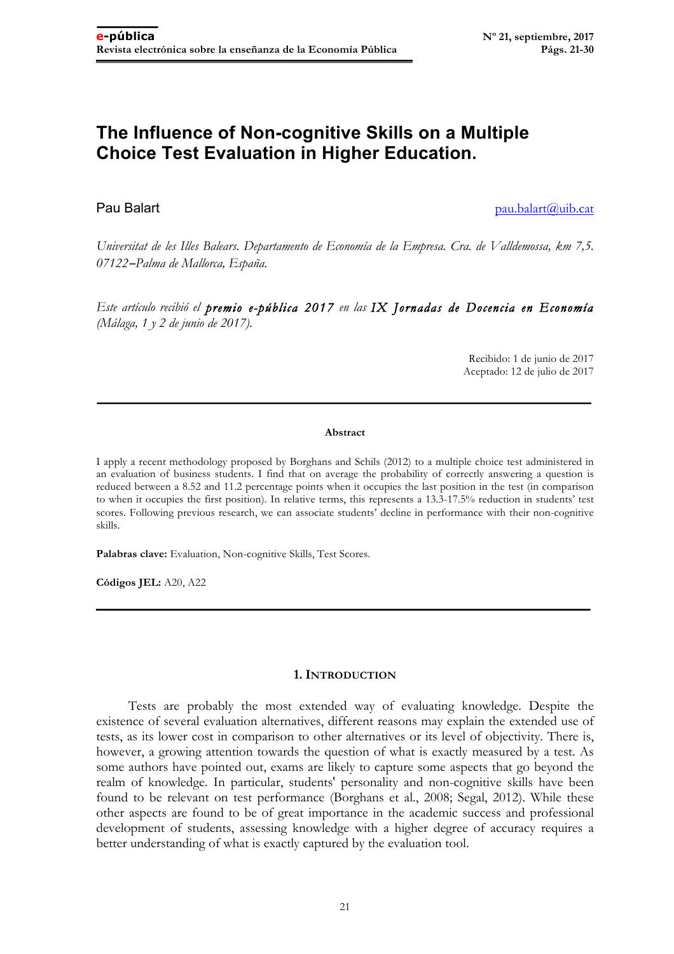# **The Influence of Non-cognitive Skills on a Multiple Choice Test Evaluation in Higher Education.**

**Pau Balart** pau.balart pau.balart pau.balart pau.balart pau.balart pau.balart pau.balart pau.balart pau.balart pau.balart pau.balart pau.balart pau.balart pau.balart pau.balart pau.balart pau.balart pau.balart pau.balart

*Universitat de les Illes Balears. Departamento de Economía de la Empresa. Cra. de Valldemossa, km 7,5. 07122*−*Palma de Mallorca, España.*

*Este artículo recibió el premio e-pública 2017 en las IX Jornadas de Docencia en Economía (Málaga, 1 y 2 de junio de 2017).* 

> Recibido: 1 de junio de 2017 Aceptado: 12 de julio de 2017

#### **Abstract**

I apply a recent methodology proposed by Borghans and Schils (2012) to a multiple choice test administered in an evaluation of business students. I find that on average the probability of correctly answering a question is reduced between a 8.52 and 11.2 percentage points when it occupies the last position in the test (in comparison to when it occupies the first position). In relative terms, this represents a 13.3-17.5% reduction in students' test scores. Following previous research, we can associate students' decline in performance with their non-cognitive skills.

**Palabras clave:** Evaluation, Non-cognitive Skills, Test Scores.

**Códigos JEL:** A20, A22

#### **1. INTRODUCTION**

Tests are probably the most extended way of evaluating knowledge. Despite the existence of several evaluation alternatives, different reasons may explain the extended use of tests, as its lower cost in comparison to other alternatives or its level of objectivity. There is, however, a growing attention towards the question of what is exactly measured by a test. As some authors have pointed out, exams are likely to capture some aspects that go beyond the realm of knowledge. In particular, students' personality and non-cognitive skills have been found to be relevant on test performance (Borghans et al., 2008; Segal, 2012). While these other aspects are found to be of great importance in the academic success and professional development of students, assessing knowledge with a higher degree of accuracy requires a better understanding of what is exactly captured by the evaluation tool.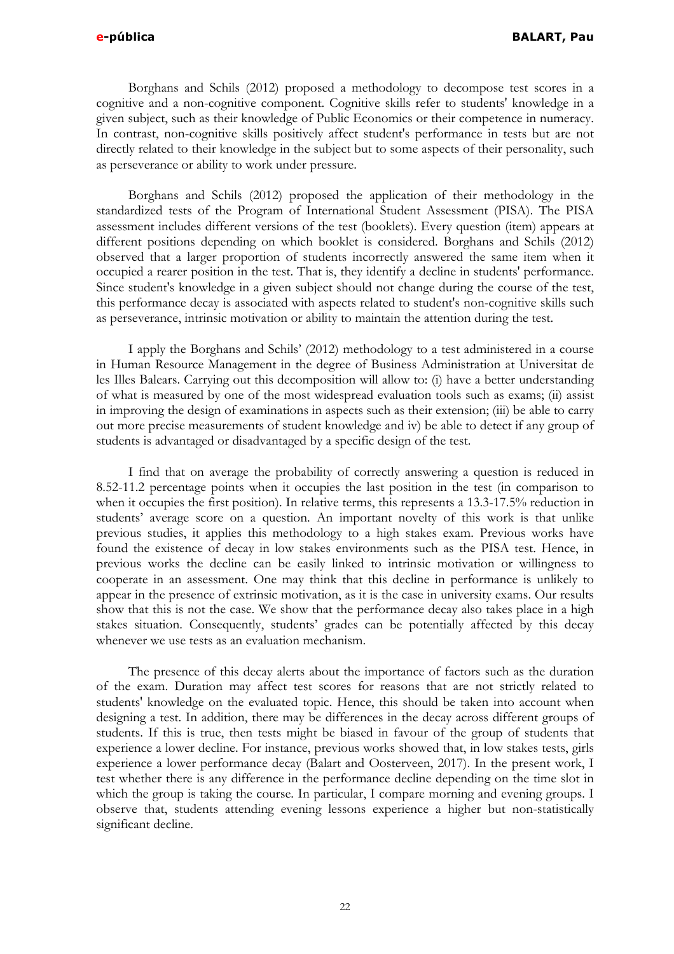Borghans and Schils (2012) proposed a methodology to decompose test scores in a cognitive and a non-cognitive component. Cognitive skills refer to students' knowledge in a given subject, such as their knowledge of Public Economics or their competence in numeracy. In contrast, non-cognitive skills positively affect student's performance in tests but are not directly related to their knowledge in the subject but to some aspects of their personality, such as perseverance or ability to work under pressure.

Borghans and Schils (2012) proposed the application of their methodology in the standardized tests of the Program of International Student Assessment (PISA). The PISA assessment includes different versions of the test (booklets). Every question (item) appears at different positions depending on which booklet is considered. Borghans and Schils (2012) observed that a larger proportion of students incorrectly answered the same item when it occupied a rearer position in the test. That is, they identify a decline in students' performance. Since student's knowledge in a given subject should not change during the course of the test, this performance decay is associated with aspects related to student's non-cognitive skills such as perseverance, intrinsic motivation or ability to maintain the attention during the test.

I apply the Borghans and Schils' (2012) methodology to a test administered in a course in Human Resource Management in the degree of Business Administration at Universitat de les Illes Balears. Carrying out this decomposition will allow to: (i) have a better understanding of what is measured by one of the most widespread evaluation tools such as exams; (ii) assist in improving the design of examinations in aspects such as their extension; (iii) be able to carry out more precise measurements of student knowledge and iv) be able to detect if any group of students is advantaged or disadvantaged by a specific design of the test.

I find that on average the probability of correctly answering a question is reduced in 8.52-11.2 percentage points when it occupies the last position in the test (in comparison to when it occupies the first position). In relative terms, this represents a 13.3-17.5% reduction in students' average score on a question. An important novelty of this work is that unlike previous studies, it applies this methodology to a high stakes exam. Previous works have found the existence of decay in low stakes environments such as the PISA test. Hence, in previous works the decline can be easily linked to intrinsic motivation or willingness to cooperate in an assessment. One may think that this decline in performance is unlikely to appear in the presence of extrinsic motivation, as it is the case in university exams. Our results show that this is not the case. We show that the performance decay also takes place in a high stakes situation. Consequently, students' grades can be potentially affected by this decay whenever we use tests as an evaluation mechanism.

The presence of this decay alerts about the importance of factors such as the duration of the exam. Duration may affect test scores for reasons that are not strictly related to students' knowledge on the evaluated topic. Hence, this should be taken into account when designing a test. In addition, there may be differences in the decay across different groups of students. If this is true, then tests might be biased in favour of the group of students that experience a lower decline. For instance, previous works showed that, in low stakes tests, girls experience a lower performance decay (Balart and Oosterveen, 2017). In the present work, I test whether there is any difference in the performance decline depending on the time slot in which the group is taking the course. In particular, I compare morning and evening groups. I observe that, students attending evening lessons experience a higher but non-statistically significant decline.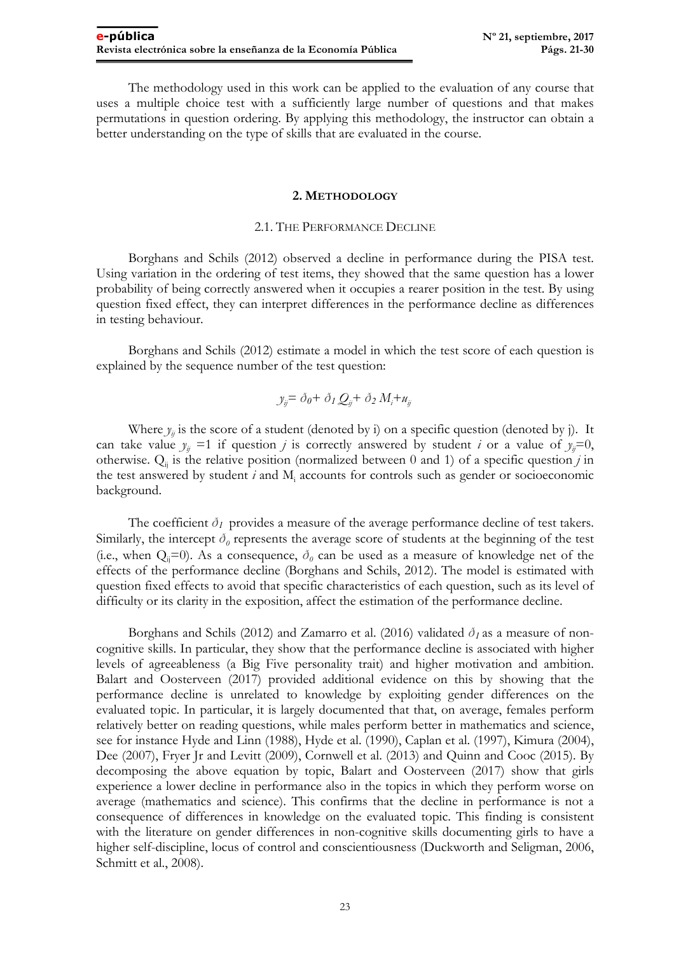The methodology used in this work can be applied to the evaluation of any course that uses a multiple choice test with a sufficiently large number of questions and that makes permutations in question ordering. By applying this methodology, the instructor can obtain a better understanding on the type of skills that are evaluated in the course.

#### **2. METHODOLOGY**

#### 2.1. THE PERFORMANCE DECLINE

Borghans and Schils (2012) observed a decline in performance during the PISA test. Using variation in the ordering of test items, they showed that the same question has a lower probability of being correctly answered when it occupies a rearer position in the test. By using question fixed effect, they can interpret differences in the performance decline as differences in testing behaviour.

Borghans and Schils (2012) estimate a model in which the test score of each question is explained by the sequence number of the test question:

$$
y_{ij} = \delta_0 + \delta_1 Q_{ij} + \delta_2 M_i + u_{ij}
$$

Where  $y_{ii}$  is the score of a student (denoted by i) on a specific question (denoted by j). It can take value  $y_{ij} = 1$  if question *j* is correctly answered by student *i* or a value of  $y_{ij} = 0$ , otherwise.  $Q_{ij}$  is the relative position (normalized between 0 and 1) of a specific question *j* in the test answered by student *i* and Mi accounts for controls such as gender or socioeconomic background.

The coefficient  $\delta_I$  provides a measure of the average performance decline of test takers. Similarly, the intercept  $\delta_\theta$  represents the average score of students at the beginning of the test (i.e., when  $Q_i=0$ ). As a consequence,  $\delta_\theta$  can be used as a measure of knowledge net of the effects of the performance decline (Borghans and Schils, 2012). The model is estimated with question fixed effects to avoid that specific characteristics of each question, such as its level of difficulty or its clarity in the exposition, affect the estimation of the performance decline.

Borghans and Schils (2012) and Zamarro et al. (2016) validated  $\delta_l$  as a measure of noncognitive skills. In particular, they show that the performance decline is associated with higher levels of agreeableness (a Big Five personality trait) and higher motivation and ambition. Balart and Oosterveen (2017) provided additional evidence on this by showing that the performance decline is unrelated to knowledge by exploiting gender differences on the evaluated topic. In particular, it is largely documented that that, on average, females perform relatively better on reading questions, while males perform better in mathematics and science, see for instance Hyde and Linn (1988), Hyde et al. (1990), Caplan et al. (1997), Kimura (2004), Dee (2007), Fryer Jr and Levitt (2009), Cornwell et al. (2013) and Quinn and Cooc (2015). By decomposing the above equation by topic, Balart and Oosterveen (2017) show that girls experience a lower decline in performance also in the topics in which they perform worse on average (mathematics and science). This confirms that the decline in performance is not a consequence of differences in knowledge on the evaluated topic. This finding is consistent with the literature on gender differences in non-cognitive skills documenting girls to have a higher self-discipline, locus of control and conscientiousness (Duckworth and Seligman, 2006, Schmitt et al., 2008).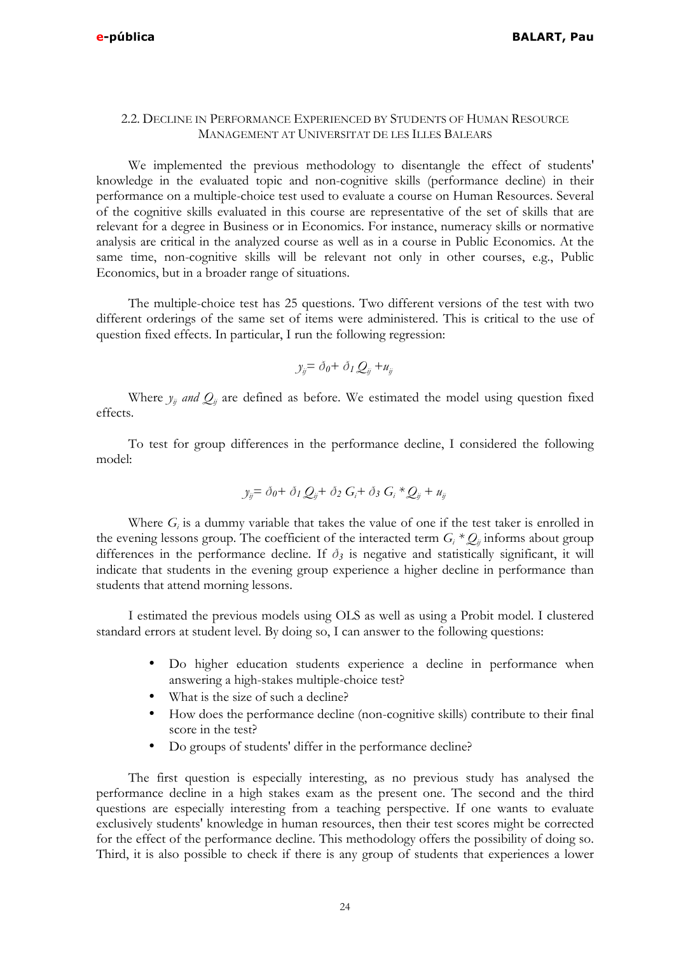## 2.2. DECLINE IN PERFORMANCE EXPERIENCED BY STUDENTS OF HUMAN RESOURCE MANAGEMENT AT UNIVERSITAT DE LES ILLES BALEARS

We implemented the previous methodology to disentangle the effect of students' knowledge in the evaluated topic and non-cognitive skills (performance decline) in their performance on a multiple-choice test used to evaluate a course on Human Resources. Several of the cognitive skills evaluated in this course are representative of the set of skills that are relevant for a degree in Business or in Economics. For instance, numeracy skills or normative analysis are critical in the analyzed course as well as in a course in Public Economics. At the same time, non-cognitive skills will be relevant not only in other courses, e.g., Public Economics, but in a broader range of situations.

The multiple-choice test has 25 questions. Two different versions of the test with two different orderings of the same set of items were administered. This is critical to the use of question fixed effects. In particular, I run the following regression:

$$
y_{ij} = \delta_0 + \delta_1 Q_{ij} + u_{ij}
$$

Where  $y_{ij}$  *and*  $Q_{ij}$  are defined as before. We estimated the model using question fixed effects.

To test for group differences in the performance decline, I considered the following model:

$$
y_{ij} = \delta_0 + \delta_1 Q_{ij} + \delta_2 G_i + \delta_3 G_i * Q_{ij} + u_{ij}
$$

Where  $G_i$  is a dummy variable that takes the value of one if the test taker is enrolled in the evening lessons group. The coefficient of the interacted term  $G_i * Q_{ij}$  informs about group differences in the performance decline. If  $\delta_3$  is negative and statistically significant, it will indicate that students in the evening group experience a higher decline in performance than students that attend morning lessons.

I estimated the previous models using OLS as well as using a Probit model. I clustered standard errors at student level. By doing so, I can answer to the following questions:

- Do higher education students experience a decline in performance when answering a high-stakes multiple-choice test?
- What is the size of such a decline?
- How does the performance decline (non-cognitive skills) contribute to their final score in the test?
- Do groups of students' differ in the performance decline?

The first question is especially interesting, as no previous study has analysed the performance decline in a high stakes exam as the present one. The second and the third questions are especially interesting from a teaching perspective. If one wants to evaluate exclusively students' knowledge in human resources, then their test scores might be corrected for the effect of the performance decline. This methodology offers the possibility of doing so. Third, it is also possible to check if there is any group of students that experiences a lower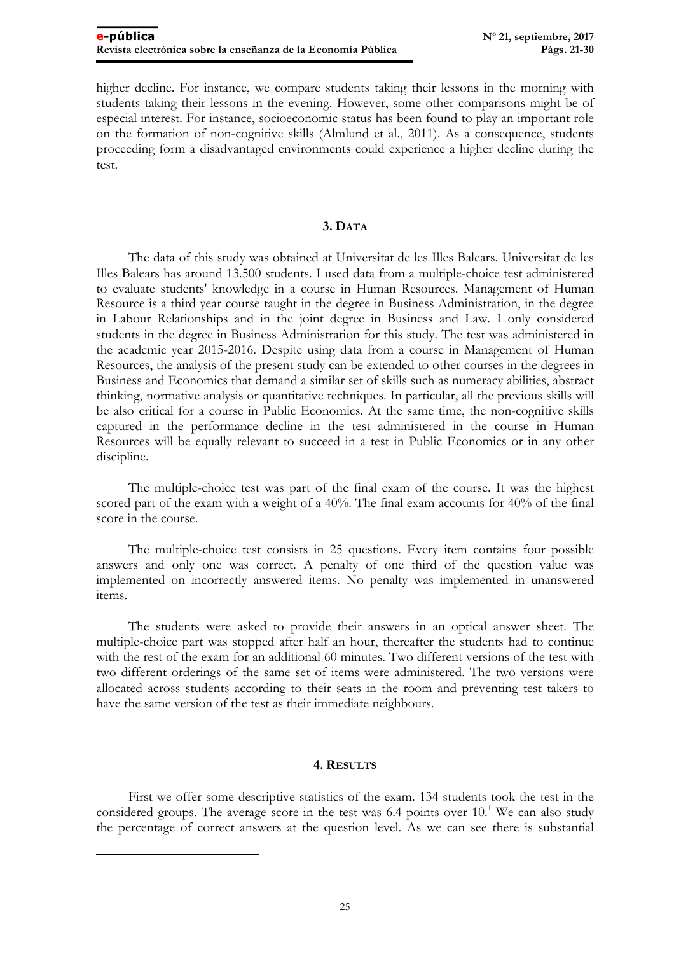higher decline. For instance, we compare students taking their lessons in the morning with students taking their lessons in the evening. However, some other comparisons might be of especial interest. For instance, socioeconomic status has been found to play an important role on the formation of non-cognitive skills (Almlund et al., 2011). As a consequence, students proceeding form a disadvantaged environments could experience a higher decline during the test.

## **3. DATA**

The data of this study was obtained at Universitat de les Illes Balears. Universitat de les Illes Balears has around 13.500 students. I used data from a multiple-choice test administered to evaluate students' knowledge in a course in Human Resources. Management of Human Resource is a third year course taught in the degree in Business Administration, in the degree in Labour Relationships and in the joint degree in Business and Law. I only considered students in the degree in Business Administration for this study. The test was administered in the academic year 2015-2016. Despite using data from a course in Management of Human Resources, the analysis of the present study can be extended to other courses in the degrees in Business and Economics that demand a similar set of skills such as numeracy abilities, abstract thinking, normative analysis or quantitative techniques. In particular, all the previous skills will be also critical for a course in Public Economics. At the same time, the non-cognitive skills captured in the performance decline in the test administered in the course in Human Resources will be equally relevant to succeed in a test in Public Economics or in any other discipline.

The multiple-choice test was part of the final exam of the course. It was the highest scored part of the exam with a weight of a 40%. The final exam accounts for 40% of the final score in the course.

The multiple-choice test consists in 25 questions. Every item contains four possible answers and only one was correct. A penalty of one third of the question value was implemented on incorrectly answered items. No penalty was implemented in unanswered items.

The students were asked to provide their answers in an optical answer sheet. The multiple-choice part was stopped after half an hour, thereafter the students had to continue with the rest of the exam for an additional 60 minutes. Two different versions of the test with two different orderings of the same set of items were administered. The two versions were allocated across students according to their seats in the room and preventing test takers to have the same version of the test as their immediate neighbours.

#### **4. RESULTS**

First we offer some descriptive statistics of the exam. 134 students took the test in the considered groups. The average score in the test was 6.4 points over 10.<sup>1</sup> We can also study the percentage of correct answers at the question level. As we can see there is substantial

 $\overline{a}$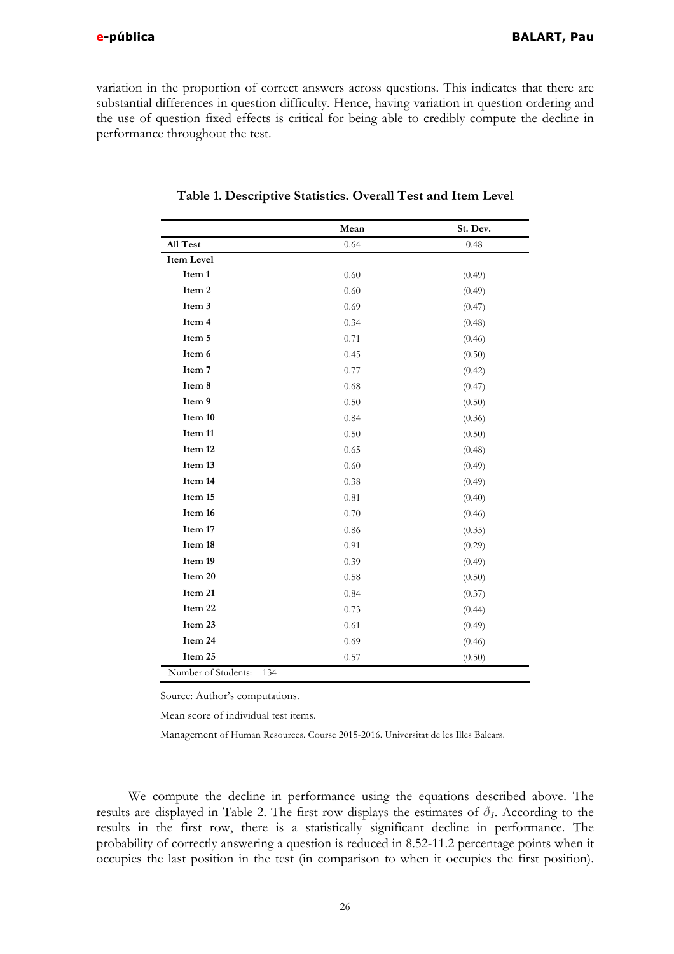variation in the proportion of correct answers across questions. This indicates that there are substantial differences in question difficulty. Hence, having variation in question ordering and the use of question fixed effects is critical for being able to credibly compute the decline in performance throughout the test.

|                            | Mean | St. Dev. |  |
|----------------------------|------|----------|--|
| All Test                   | 0.64 | 0.48     |  |
| Item Level                 |      |          |  |
| Item 1                     | 0.60 | (0.49)   |  |
| Item 2                     | 0.60 | (0.49)   |  |
| Item 3                     | 0.69 | (0.47)   |  |
| Item 4                     | 0.34 | (0.48)   |  |
| Item 5                     | 0.71 | (0.46)   |  |
| Item 6                     | 0.45 | (0.50)   |  |
| Item 7                     | 0.77 | (0.42)   |  |
| Item 8                     | 0.68 | (0.47)   |  |
| Item 9                     | 0.50 | (0.50)   |  |
| Item 10                    | 0.84 | (0.36)   |  |
| Item 11                    | 0.50 | (0.50)   |  |
| Item 12                    | 0.65 | (0.48)   |  |
| Item 13                    | 0.60 | (0.49)   |  |
| Item 14                    | 0.38 | (0.49)   |  |
| Item 15                    | 0.81 | (0.40)   |  |
| Item 16                    | 0.70 | (0.46)   |  |
| Item 17                    | 0.86 | (0.35)   |  |
| Item 18                    | 0.91 | (0.29)   |  |
| Item 19                    | 0.39 | (0.49)   |  |
| Item 20                    | 0.58 | (0.50)   |  |
| Item 21                    | 0.84 | (0.37)   |  |
| Item 22                    | 0.73 | (0.44)   |  |
| Item 23                    | 0.61 | (0.49)   |  |
| Item 24                    | 0.69 | (0.46)   |  |
| Item 25                    | 0.57 | (0.50)   |  |
| Number of Students:<br>134 |      |          |  |

#### **Table 1. Descriptive Statistics. Overall Test and Item Level**

Source: Author's computations.

Mean score of individual test items.

Management of Human Resources. Course 2015-2016. Universitat de les Illes Balears.

We compute the decline in performance using the equations described above. The results are displayed in Table 2. The first row displays the estimates of  $\delta_l$ . According to the results in the first row, there is a statistically significant decline in performance. The probability of correctly answering a question is reduced in 8.52-11.2 percentage points when it occupies the last position in the test (in comparison to when it occupies the first position).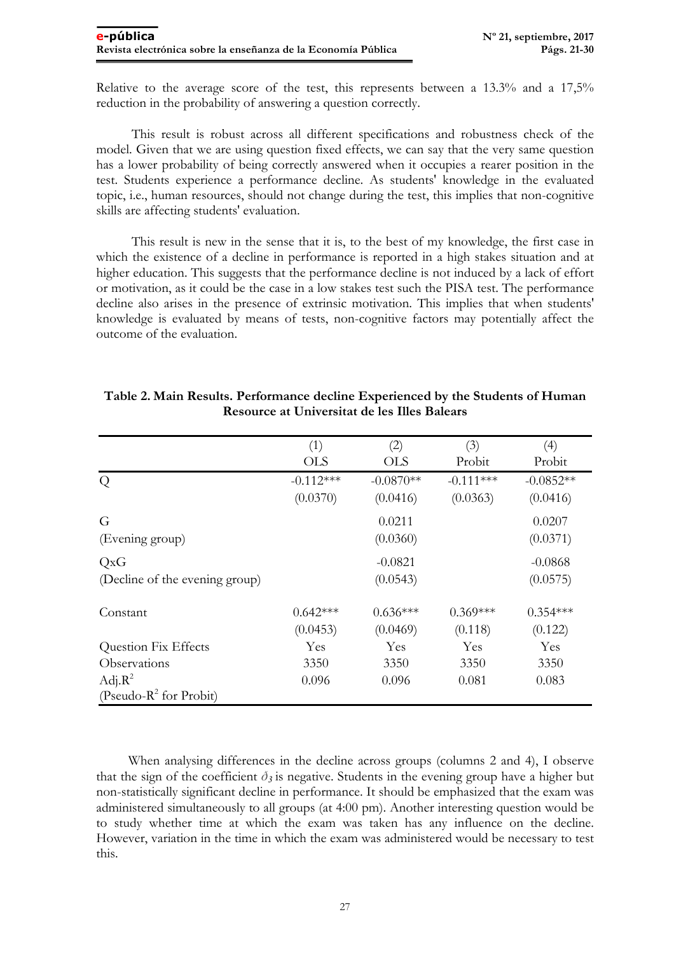Relative to the average score of the test, this represents between a 13.3% and a 17,5% reduction in the probability of answering a question correctly.

This result is robust across all different specifications and robustness check of the model. Given that we are using question fixed effects, we can say that the very same question has a lower probability of being correctly answered when it occupies a rearer position in the test. Students experience a performance decline. As students' knowledge in the evaluated topic, i.e., human resources, should not change during the test, this implies that non-cognitive skills are affecting students' evaluation.

This result is new in the sense that it is, to the best of my knowledge, the first case in which the existence of a decline in performance is reported in a high stakes situation and at higher education. This suggests that the performance decline is not induced by a lack of effort or motivation, as it could be the case in a low stakes test such the PISA test. The performance decline also arises in the presence of extrinsic motivation. This implies that when students' knowledge is evaluated by means of tests, non-cognitive factors may potentially affect the outcome of the evaluation.

|                                | (1)         | (2)         | (3)         | (4)         |
|--------------------------------|-------------|-------------|-------------|-------------|
|                                | <b>OLS</b>  | <b>OLS</b>  | Probit      | Probit      |
| Q                              | $-0.112***$ | $-0.0870**$ | $-0.111***$ | $-0.0852**$ |
|                                | (0.0370)    | (0.0416)    | (0.0363)    | (0.0416)    |
| G                              |             | 0.0211      |             | 0.0207      |
| (Evening group)                |             | (0.0360)    |             | (0.0371)    |
| QxG                            |             | $-0.0821$   |             | $-0.0868$   |
| (Decline of the evening group) |             | (0.0543)    |             | (0.0575)    |
| Constant                       | $0.642***$  | $0.636***$  | $0.369***$  | $0.354***$  |
|                                | (0.0453)    | (0.0469)    | (0.118)     | (0.122)     |
| <b>Question Fix Effects</b>    | Yes         | Yes         | Yes         | Yes         |
| Observations                   | 3350        | 3350        | 3350        | 3350        |
| $Adj.R^2$                      | 0.096       | 0.096       | 0.081       | 0.083       |
| (Pseudo- $R^2$ for Probit)     |             |             |             |             |

# **Table 2. Main Results. Performance decline Experienced by the Students of Human Resource at Universitat de les Illes Balears**

When analysing differences in the decline across groups (columns 2 and 4), I observe that the sign of the coefficient  $\delta_3$  is negative. Students in the evening group have a higher but non-statistically significant decline in performance. It should be emphasized that the exam was administered simultaneously to all groups (at 4:00 pm). Another interesting question would be to study whether time at which the exam was taken has any influence on the decline. However, variation in the time in which the exam was administered would be necessary to test this.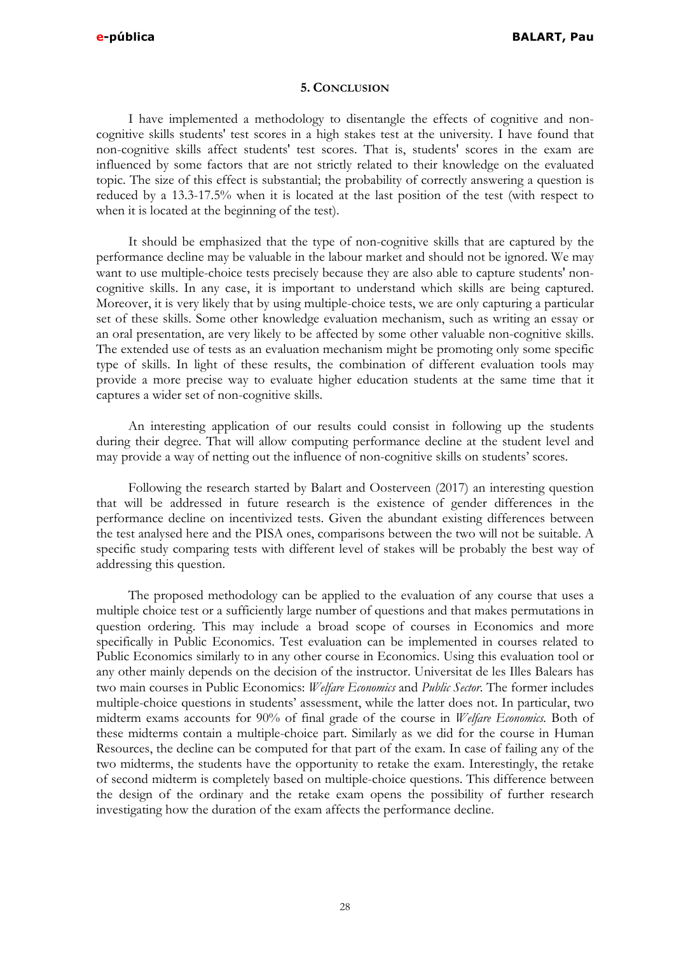#### **5. CONCLUSION**

I have implemented a methodology to disentangle the effects of cognitive and noncognitive skills students' test scores in a high stakes test at the university. I have found that non-cognitive skills affect students' test scores. That is, students' scores in the exam are influenced by some factors that are not strictly related to their knowledge on the evaluated topic. The size of this effect is substantial; the probability of correctly answering a question is reduced by a 13.3-17.5% when it is located at the last position of the test (with respect to when it is located at the beginning of the test).

It should be emphasized that the type of non-cognitive skills that are captured by the performance decline may be valuable in the labour market and should not be ignored. We may want to use multiple-choice tests precisely because they are also able to capture students' noncognitive skills. In any case, it is important to understand which skills are being captured. Moreover, it is very likely that by using multiple-choice tests, we are only capturing a particular set of these skills. Some other knowledge evaluation mechanism, such as writing an essay or an oral presentation, are very likely to be affected by some other valuable non-cognitive skills. The extended use of tests as an evaluation mechanism might be promoting only some specific type of skills. In light of these results, the combination of different evaluation tools may provide a more precise way to evaluate higher education students at the same time that it captures a wider set of non-cognitive skills.

An interesting application of our results could consist in following up the students during their degree. That will allow computing performance decline at the student level and may provide a way of netting out the influence of non-cognitive skills on students' scores.

Following the research started by Balart and Oosterveen (2017) an interesting question that will be addressed in future research is the existence of gender differences in the performance decline on incentivized tests. Given the abundant existing differences between the test analysed here and the PISA ones, comparisons between the two will not be suitable. A specific study comparing tests with different level of stakes will be probably the best way of addressing this question.

The proposed methodology can be applied to the evaluation of any course that uses a multiple choice test or a sufficiently large number of questions and that makes permutations in question ordering. This may include a broad scope of courses in Economics and more specifically in Public Economics. Test evaluation can be implemented in courses related to Public Economics similarly to in any other course in Economics. Using this evaluation tool or any other mainly depends on the decision of the instructor. Universitat de les Illes Balears has two main courses in Public Economics: *Welfare Economics* and *Public Sector*. The former includes multiple-choice questions in students' assessment, while the latter does not. In particular, two midterm exams accounts for 90% of final grade of the course in *Welfare Economics.* Both of these midterms contain a multiple-choice part. Similarly as we did for the course in Human Resources, the decline can be computed for that part of the exam. In case of failing any of the two midterms, the students have the opportunity to retake the exam. Interestingly, the retake of second midterm is completely based on multiple-choice questions. This difference between the design of the ordinary and the retake exam opens the possibility of further research investigating how the duration of the exam affects the performance decline.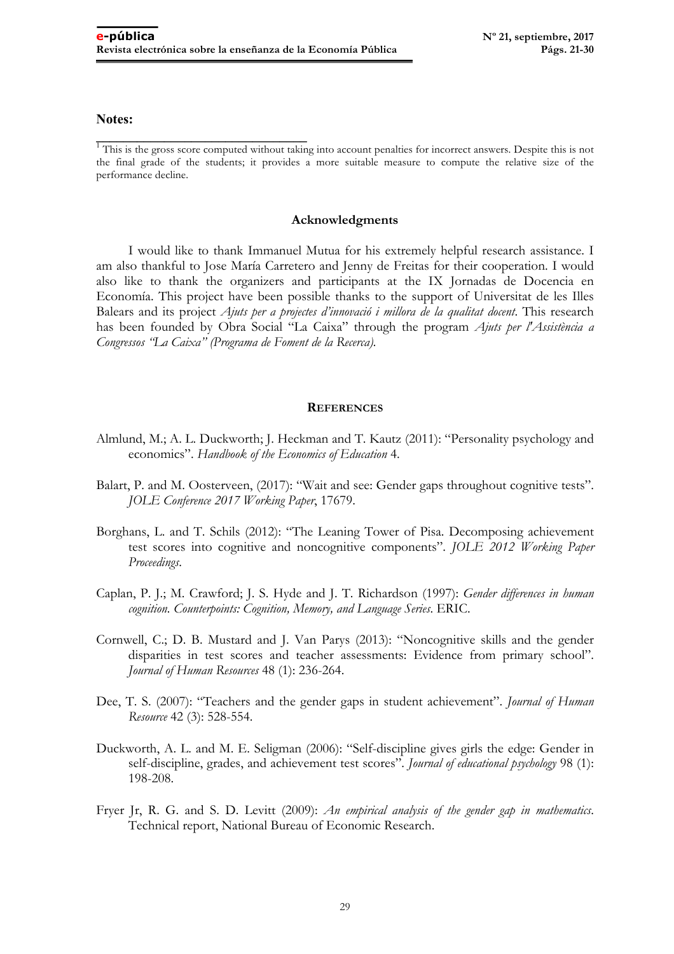#### **Notes:**

<sup>1</sup>This is the gross score computed without taking into account penalties for incorrect answers. Despite this is not the final grade of the students; it provides a more suitable measure to compute the relative size of the performance decline.

#### **Acknowledgments**

I would like to thank Immanuel Mutua for his extremely helpful research assistance. I am also thankful to Jose María Carretero and Jenny de Freitas for their cooperation. I would also like to thank the organizers and participants at the IX Jornadas de Docencia en Economía. This project have been possible thanks to the support of Universitat de les Illes Balears and its project *Ajuts per a projectes d'innovació i millora de la qualitat docent*. This research has been founded by Obra Social "La Caixa" through the program *Ajuts per l'Assistència a Congressos "La Caixa" (Programa de Foment de la Recerca).*

#### **REFERENCES**

- Almlund, M.; A. L. Duckworth; J. Heckman and T. Kautz (2011): "Personality psychology and economics". *Handbook of the Economics of Education* 4.
- Balart, P. and M. Oosterveen, (2017): "Wait and see: Gender gaps throughout cognitive tests". *JOLE Conference 2017 Working Paper*, 17679.
- Borghans, L. and T. Schils (2012): "The Leaning Tower of Pisa. Decomposing achievement test scores into cognitive and noncognitive components". *JOLE 2012 Working Paper Proceedings*.
- Caplan, P. J.; M. Crawford; J. S. Hyde and J. T. Richardson (1997): *Gender differences in human cognition. Counterpoints: Cognition, Memory, and Language Series*. ERIC.
- Cornwell, C.; D. B. Mustard and J. Van Parys (2013): "Noncognitive skills and the gender disparities in test scores and teacher assessments: Evidence from primary school". *Journal of Human Resources* 48 (1): 236-264.
- Dee, T. S. (2007): "Teachers and the gender gaps in student achievement". *Journal of Human Resource* 42 (3): 528-554.
- Duckworth, A. L. and M. E. Seligman (2006): "Self-discipline gives girls the edge: Gender in self-discipline, grades, and achievement test scores". *Journal of educational psychology* 98 (1): 198-208.
- Fryer Jr, R. G. and S. D. Levitt (2009): *An empirical analysis of the gender gap in mathematics*. Technical report, National Bureau of Economic Research.